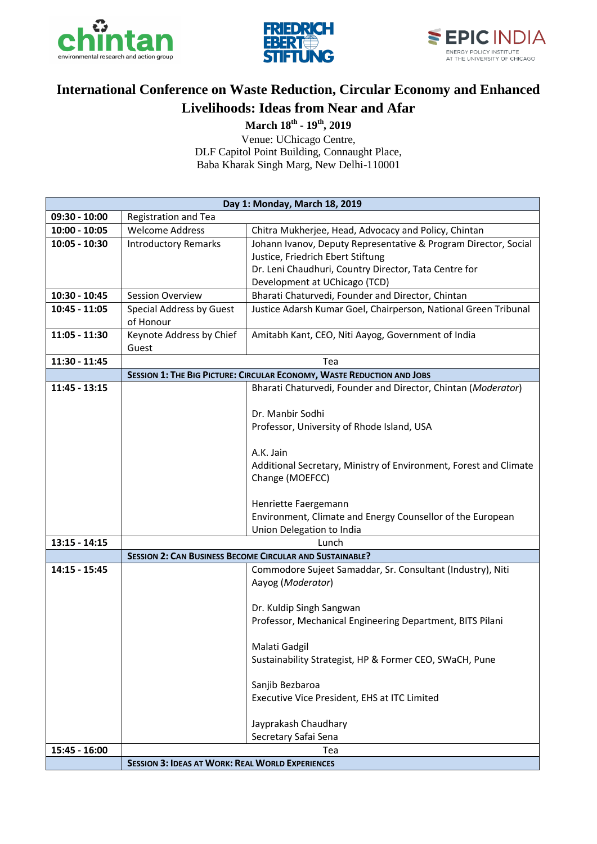





## **International Conference on Waste Reduction, Circular Economy and Enhanced Livelihoods: Ideas from Near and Afar**

**March 18th - 19th, 2019**

Venue: UChicago Centre, DLF Capitol Point Building, Connaught Place, Baba Kharak Singh Marg, New Delhi-110001

|                 | Day 1: Monday, March 18, 2019                                   |                                                                                         |  |
|-----------------|-----------------------------------------------------------------|-----------------------------------------------------------------------------------------|--|
| 09:30 - 10:00   | Registration and Tea                                            |                                                                                         |  |
| $10:00 - 10:05$ | <b>Welcome Address</b>                                          | Chitra Mukherjee, Head, Advocacy and Policy, Chintan                                    |  |
| $10:05 - 10:30$ | <b>Introductory Remarks</b>                                     | Johann Ivanov, Deputy Representative & Program Director, Social                         |  |
|                 |                                                                 | Justice, Friedrich Ebert Stiftung                                                       |  |
|                 |                                                                 | Dr. Leni Chaudhuri, Country Director, Tata Centre for                                   |  |
|                 |                                                                 | Development at UChicago (TCD)                                                           |  |
| 10:30 - 10:45   | <b>Session Overview</b>                                         | Bharati Chaturvedi, Founder and Director, Chintan                                       |  |
| 10:45 - 11:05   | <b>Special Address by Guest</b>                                 | Justice Adarsh Kumar Goel, Chairperson, National Green Tribunal                         |  |
|                 | of Honour                                                       |                                                                                         |  |
| $11:05 - 11:30$ | Keynote Address by Chief                                        | Amitabh Kant, CEO, Niti Aayog, Government of India                                      |  |
|                 | Guest                                                           |                                                                                         |  |
| 11:30 - 11:45   |                                                                 | Tea                                                                                     |  |
|                 |                                                                 | SESSION 1: THE BIG PICTURE: CIRCULAR ECONOMY, WASTE REDUCTION AND JOBS                  |  |
| $11:45 - 13:15$ |                                                                 | Bharati Chaturvedi, Founder and Director, Chintan (Moderator)                           |  |
|                 |                                                                 |                                                                                         |  |
|                 |                                                                 | Dr. Manbir Sodhi                                                                        |  |
|                 |                                                                 | Professor, University of Rhode Island, USA                                              |  |
|                 |                                                                 |                                                                                         |  |
|                 |                                                                 | A.K. Jain                                                                               |  |
|                 |                                                                 | Additional Secretary, Ministry of Environment, Forest and Climate                       |  |
|                 |                                                                 | Change (MOEFCC)                                                                         |  |
|                 |                                                                 |                                                                                         |  |
|                 |                                                                 | Henriette Faergemann                                                                    |  |
|                 |                                                                 | Environment, Climate and Energy Counsellor of the European<br>Union Delegation to India |  |
| $13:15 - 14:15$ |                                                                 | Lunch                                                                                   |  |
|                 | <b>SESSION 2: CAN BUSINESS BECOME CIRCULAR AND SUSTAINABLE?</b> |                                                                                         |  |
| 14:15 - 15:45   |                                                                 | Commodore Sujeet Samaddar, Sr. Consultant (Industry), Niti                              |  |
|                 |                                                                 | Aayog (Moderator)                                                                       |  |
|                 |                                                                 |                                                                                         |  |
|                 |                                                                 | Dr. Kuldip Singh Sangwan                                                                |  |
|                 |                                                                 | Professor, Mechanical Engineering Department, BITS Pilani                               |  |
|                 |                                                                 |                                                                                         |  |
|                 |                                                                 | Malati Gadgil                                                                           |  |
|                 |                                                                 | Sustainability Strategist, HP & Former CEO, SWaCH, Pune                                 |  |
|                 |                                                                 |                                                                                         |  |
|                 |                                                                 | Sanjib Bezbaroa                                                                         |  |
|                 |                                                                 | Executive Vice President, EHS at ITC Limited                                            |  |
|                 |                                                                 |                                                                                         |  |
|                 |                                                                 | Jayprakash Chaudhary                                                                    |  |
|                 |                                                                 | Secretary Safai Sena                                                                    |  |
| 15:45 - 16:00   | Tea                                                             |                                                                                         |  |
|                 | <b>SESSION 3: IDEAS AT WORK: REAL WORLD EXPERIENCES</b>         |                                                                                         |  |